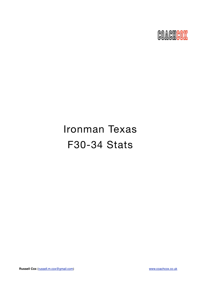

# Ironman Texas F30-34 Stats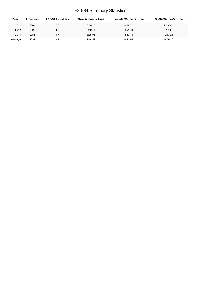## F30-34 Summary Statistics

| Year    | <b>Finishers</b> | F30-34 Finishers | Male Winner's Time | <b>Female Winner's Time</b> | <b>F30-34 Winner's Time</b> |
|---------|------------------|------------------|--------------------|-----------------------------|-----------------------------|
| 2011    | 2004             | 76               | 8:08:20            | 8:57:51                     | 9:53:05                     |
| 2012    | 2022             | 96               | 8:10:44            | 8:54:58                     | 9:47:05                     |
| 2013    | 2055             | 87               | 8:25:06            | 8:49:14                     | 10:47:21                    |
| Average | 2027             | 86               | 8:14:43            | 8:54:01                     | 10:09:10                    |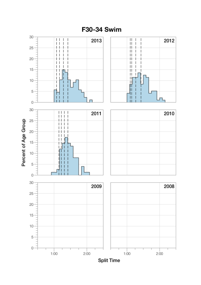

**Split Time**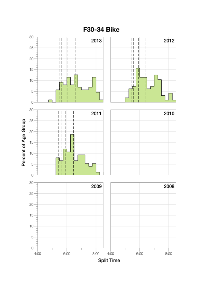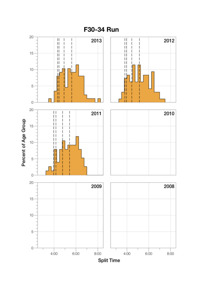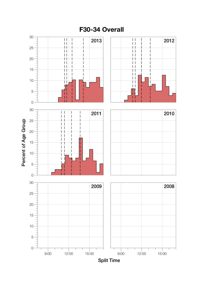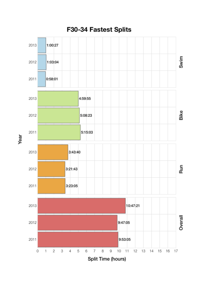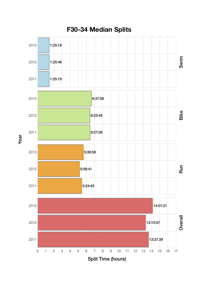

Year

## F30-34 Median Splits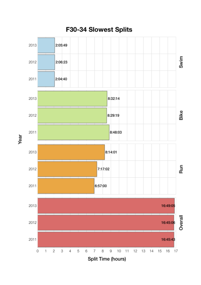

Year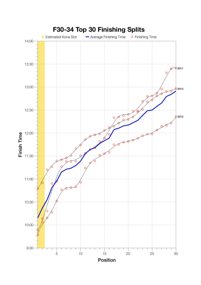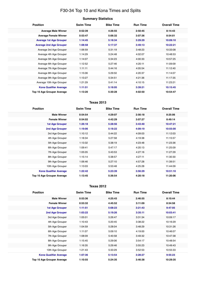## F30-34 Top 10 and Kona Times and Splits

| <b>Position</b>                   | <b>Swim Time</b> | <b>Bike Time</b> | <b>Run Time</b> | <b>Overall Time</b> |
|-----------------------------------|------------------|------------------|-----------------|---------------------|
| <b>Average Male Winner</b>        | 0:52:39          | 4:26:55          | 2:50:45         | 8:14:43             |
| <b>Average Female Winner</b>      | 0:53:47          | 5:06:32          | 3:07:36         | 8:54:01             |
| <b>Average 1st Age Grouper</b>    | 1:14:45          | 5:18:34          | 3:29:29         | 10:09:10            |
| <b>Average 2nd Age Grouper</b>    | 1:08:58          | 5:17:37          | 3:49:13         | 10:22:21            |
| Average 3rd Age Grouper           | 1:06:59          | 5:31:19          | 3:48:23         | 10:33:08            |
| Average 4th Age Grouper           | 1:14:29          | 5:24:48          | 4:02:07         | 10:48:53            |
| Average 5th Age Grouper           | 1:14:07          | 5:34:23          | 4:00:33         | 10:57:25            |
| Average 6th Age Grouper           | 1:12:52          | 5:27:46          | 4:20:11         | 11:09:09            |
| Average 7th Age Grouper           | 1:11:11          | 5:44:16          | 4:05:54         | 11:12:40            |
| Average 8th Age Grouper           | 1:15:06          | 5:29:50          | 4:20:37         | 11:14:07            |
| Average 9th Age Grouper           | 1:13:27          | 5:34:51          | 4:21:36         | 11:17:35            |
| Average 10th Age Grouper          | 1:21:29          | 5:41:14          | 4:10:15         | 11:23:21            |
| <b>Kona Qualifier Average</b>     | 1:11:51          | 5:18:05          | 3:39:21         | 10:15:45            |
| <b>Top 10 Age Grouper Average</b> | 1:13:20          | 5:30:28          | 4:02:50         | 10:54:47            |

### **Texas 2013**

| <b>Position</b>               | <b>Swim Time</b> | <b>Bike Time</b> | <b>Run Time</b> | <b>Overall Time</b> |
|-------------------------------|------------------|------------------|-----------------|---------------------|
| <b>Male Winner</b>            | 0:54:54          | 4:29:07          | 2:56:18         | 8:25:06             |
| <b>Female Winner</b>          | 0:54:02          | 4:42:29          | 3:07:27         | 8:49:14             |
| <b>1st Age Grouper</b>        | 1:26:18          | 5:28:56          | 3:43:40         | 10:47:21            |
| 2nd Age Grouper               | 1:19:06          | 5:18:22          | 4:09:19         | 10:55:00            |
| 3rd Age Grouper               | 1:10:12          | 5:44:22          | 4:09:03         | 11:12:03            |
| 4th Age Grouper               | 1:18:34          | 5:27:58          | 4:19:38         | 11:15:57            |
| 5th Age Grouper               | 1:13:32          | 5:38:19          | 4:23:48         | 11:23:36            |
| 6th Age Grouper               | 1:09:41          | 5:47:17          | 4:20:13         | 11:25:09            |
| 7th Age Grouper               | 1:05:05          | 5:43:53          | 4:27:16         | 11:27:29            |
| 8th Age Grouper               | 1:15:14          | 5:38:57          | 4:27:11         | 11:30:30            |
| 9th Age Grouper               | 1:06:46          | 5:27:10          | 4:57:28         | 11:39:51            |
| 10th Age Grouper              | 1:13:03          | 5:53:48          | 4:25:28         | 11:44:09            |
| <b>Kona Qualifier Average</b> | 1:22:42          | 5:23:39          | 3:56:29         | 10:51:10            |
| Top 10 Age Grouper Average    | 1:13:45          | 5:36:54          | 4:20:18         | 11:20:06            |

#### **Texas 2012**

| <b>Position</b>                   | <b>Swim Time</b> | <b>Bike Time</b> | <b>Run Time</b> | <b>Overall Time</b> |
|-----------------------------------|------------------|------------------|-----------------|---------------------|
| <b>Male Winner</b>                | 0:53:36          | 4:25:43          | 2:46:55         | 8:10:44             |
| <b>Female Winner</b>              | 0:53:32          | 4:45:52          | 3:11:09         | 8:54:58             |
| <b>1st Age Grouper</b>            | 1:11:51          | 5:08:23          | 3:21:43         | 9:47:05             |
| <b>2nd Age Grouper</b>            | 1:03:22          | 5:19:26          | 3:35:11         | 10:03:41            |
| 3rd Age Grouper                   | 1:05:01          | 5:26:47          | 3:31:34         | 10:09:17            |
| 4th Age Grouper                   | 1:10:43          | 5:20:45          | 3:38:22         | 10:16:29            |
| 5th Age Grouper                   | 1:04:59          | 5:28:04          | 3:48:29         | 10:31:26            |
| 6th Age Grouper                   | 1:11:07          | 5:09:10          | 4:19:00         | 10:46:07            |
| 7th Age Grouper                   | 1:08:09          | 5:40:58          | 3:49:32         | 10:47:38            |
| 8th Age Grouper                   | 1:15:45          | 5:29:06          | 3:54:17         | 10:48:54            |
| 9th Age Grouper                   | 1:16:35          | 5:29:46          | 3:55:23         | 10:49:43            |
| 10th Age Grouper                  | 1:21:43          | 5:33:29          | 3:52:53         | 10:55:33            |
| <b>Kona Qualifier Average</b>     | 1:07:36          | 5:13:54          | 3:28:27         | 9:55:23             |
| <b>Top 10 Age Grouper Average</b> | 1:10:55          | 5:24:35          | 3:46:38         | 10:29:35            |